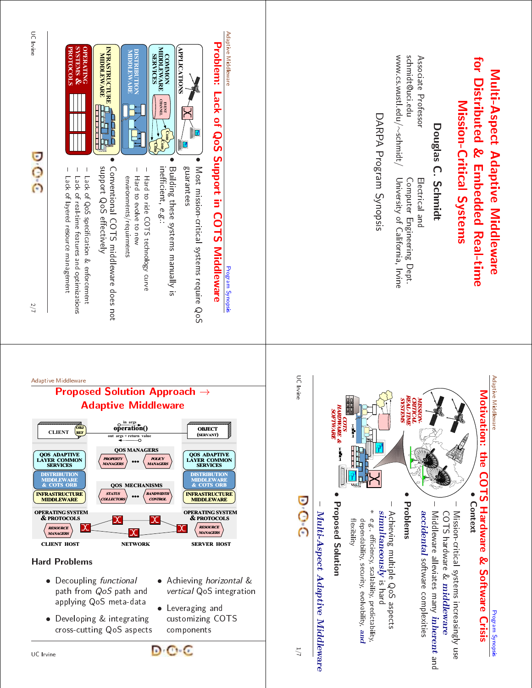# Multi-Aspect Adaptive Middleware<br>for Distributed & Embedded Real-tin<br>Mission-Critical Systems<br>Associate Professor<br>schmidt<sup>0uciedu</sup>s Computer Engineering Der<br>schmidt<sup>0uciedu</sup>s Computer Engineering Der **Adaptive<br>Critical Sehr<br>Critical Sehr<br>Islas C. Schr<br>Driver** Middlew<br>**stems**<br>**stems**<br> $\frac{1}{3}$ <br> $\frac{1}{3}$ <br> $\frac{1}{3}$ <br> $\frac{1}{3}$ <br> $\frac{1}{3}$ <br> $\frac{1}{3}$ <br> $\frac{1}{3}$ <br> $\frac{1}{3}$ <br> $\frac{1}{3}$ <br> $\frac{1}{3}$ <br> $\frac{1}{3}$ <br> $\frac{1}{3}$ <br> $\frac{1}{3}$ <br> $\frac{1}{3}$ <br> $\frac{1}{3}$ <br> $\frac{1}{3}$ <br> $\frac{1}{3}$ <br> $\frac{1}{3}$ <br> $\frac{1}{3}$ <br> $\frac{1}{3$ are  $\frac{a}{b}$  in  $\frac{a}{b}$ for Distributed & mabedded Real-time **Distributed<br>Mission**<br>iate Professor<br><sup>10</sup>ARP<br>2.wustl.edu/∼scl<br>DARP  $\sigma$   $\sigma$   $\vec{a}$   $\sigma$ **Embedded<br>C. Schmidt<br>Electrical an<br>Computer Er<br>Computer El<br>Synops<br>Dgram Synops** Real-time<br>ns<br>ineering Dept.<br>:alifornia, Irvine.

Mi<mark>ssion-Critical</mark><br>Douglas C. Sc<br><sub>i.edu</sub><br>Cor Douglas<br>/<sub>⊘schmidt</sub><br>\RPA Pr Associate<br>schmidt@<br>www.cs.w Professor<br>ici.edu<br>ustl.edu/ schmidt@uci.edu www.cs.wustl.edu/

**Systems**<br>
midt<br>
rical and<br>
puter Engine<br>
synopsis<br>
synopsis<br>
synopsis **Schmidt**<br>Somputer En<br>Jniversity of<br>m Synopsi Electrical<br>Compute<br>Universit Computer<br>University<br>am Sync Engineering<br>of Californiz<br>Sis Dept. California, Irvine<br>Irvine<br>Irvine

∽schmidt<br>RPA Pro University<br>am Sync ersity of C<br>Synopsis<br>Synopsis DARPEN DE LA BISBO<br>DARPEN DE LA BISBO<br>DARPEN DE LA BISBO and the state of the state of the state of the state of the state of the state of the state of the state of the





### Adaptive Middleware

### Proposed Solution Approach  $\rightarrow$ Adaptive Middleware INFRASTRUCTURE MIDDLEWARE DISTRIBUTION MIDDLEWARE OR<sup>1</sup> QOS ADAPTIVE LAYER LAYER COMMON SERVICES OPERATING SYSTEM & PROTOCOLS operation() CLIENT  $\overline{\text{PE}}$  **operation()** OBJECT **OBJECT CLIENT OBJECT** (SERVANT) INFRASTRUCTURE MIDDLEWARE DISTRIBUTION MIDDLEWARE **OR** QOS ADAPTIVE LAYER COMMON SERVICES OPERATING SYSTEM & PROTOCOLS OBJ REF STATUS **LLECTOR BANDWIDTH** CONTROL PROPERTY MANAGERS POLICY MANAGERS QOS MECHANISMS ... QOS MANAGERS

**CLIENT HOST SERVER HOST NETWORK SERVER HOST** 

## Hard Problems

RESOURCE MANAGERS

- **Decoupling functional** path from QoS path and applying QoS meta-data • Decoupling functional • Achieving horizontal &<br>path from QoS path and *vertical* QoS integratio<br>applying QoS meta-data<br>• Developing & integrating customizing COTS<br>cross-cutting QoS aspects components
- Developing & integrating cross-cutting QoS aspects components
- vertical QoS integration

RESOURCE MANAGERS

 Leveraging and customizing COTS

D O C

II. S

IC Irvine